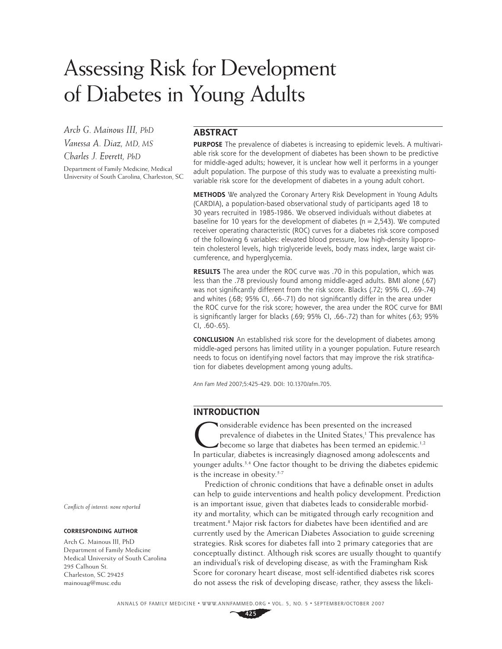# Assessing Risk for Development of Diabetes in Young Adults

*Arch G. Mainous III, PhD Vanessa A. Diaz, MD, MS Charles J. Everett, PhD*

Department of Family Medicine, Medical University of South Carolina, Charleston, SC

# **ABSTRACT**

**PURPOSE** The prevalence of diabetes is increasing to epidemic levels. A multivariable risk score for the development of diabetes has been shown to be predictive for middle-aged adults; however, it is unclear how well it performs in a younger adult population. The purpose of this study was to evaluate a preexisting multivariable risk score for the development of diabetes in a young adult cohort.

**METHODS** We analyzed the Coronary Artery Risk Development in Young Adults (CARDIA), a population-based observational study of participants aged 18 to 30 years recruited in 1985-1986. We observed individuals without diabetes at baseline for 10 years for the development of diabetes ( $n = 2,543$ ). We computed receiver operating characteristic (ROC) curves for a diabetes risk score composed of the following 6 variables: elevated blood pressure, low high-density lipoprotein cholesterol levels, high triglyceride levels, body mass index, large waist circumference, and hyperglycemia.

**RESULTS** The area under the ROC curve was .70 in this population, which was less than the .78 previously found among middle-aged adults. BMI alone (.67) was not significantly different from the risk score. Blacks (.72; 95% CI, .69-.74) and whites (.68; 95% CI, .66-.71) do not significantly differ in the area under the ROC curve for the risk score; however, the area under the ROC curve for BMI is significantly larger for blacks (.69; 95% CI, .66-.72) than for whites (.63; 95% CI, .60-.65).

**CONCLUSION** An established risk score for the development of diabetes among middle-aged persons has limited utility in a younger population. Future research needs to focus on identifying novel factors that may improve the risk stratification for diabetes development among young adults.

Ann Fam Med 2007;5:425-429. DOI: 10.1370/afm.705.

# **INTRODUCTION**

**Nonsiderable evidence has been presented on the increased** prevalence of diabetes in the United States,<sup>1</sup> This prevalence has become so large that diabetes has been termed an epidemic.<sup>1,2</sup> In particular, diabetes is increasingly diagnosed among adolescents and younger adults.<sup>3,4</sup> One factor thought to be driving the diabetes epidemic is the increase in obesity.<sup>5-7</sup>

Prediction of chronic conditions that have a definable onset in adults can help to guide interventions and health policy development. Prediction is an important issue, given that diabetes leads to considerable morbidity and mortality, which can be mitigated through early recognition and treatment.<sup>8</sup> Major risk factors for diabetes have been identified and are currently used by the American Diabetes Association to guide screening strategies. Risk scores for diabetes fall into 2 primary categories that are conceptually distinct. Although risk scores are usually thought to quantify an individual's risk of developing disease, as with the Framingham Risk Score for coronary heart disease, most self-identified diabetes risk scores do not assess the risk of developing disease; rather, they assess the likeli-

*Confl icts of interest: none reported*

#### **CORRESPONDING AUTHOR**

Arch G. Mainous III, PhD Department of Family Medicine Medical University of South Carolina 295 Calhoun St. Charleston, SC 29425 mainouag@musc.edu

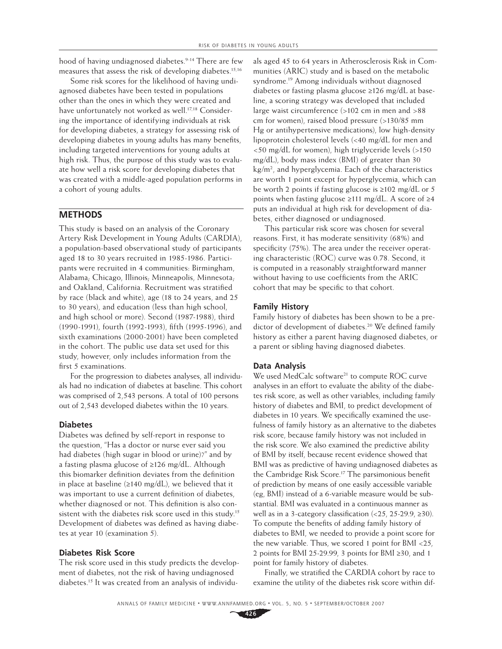hood of having undiagnosed diabetes.<sup>9-14</sup> There are few measures that assess the risk of developing diabetes.15,16

Some risk scores for the likelihood of having undiagnosed diabetes have been tested in populations other than the ones in which they were created and have unfortunately not worked as well.<sup>17,18</sup> Considering the importance of identifying individuals at risk for developing diabetes, a strategy for assessing risk of developing diabetes in young adults has many benefits, including targeted interventions for young adults at high risk. Thus, the purpose of this study was to evaluate how well a risk score for developing diabetes that was created with a middle-aged population performs in a cohort of young adults.

## **METHODS**

This study is based on an analysis of the Coronary Artery Risk Development in Young Adults (CARDIA), a population-based observational study of participants aged 18 to 30 years recruited in 1985-1986. Participants were recruited in 4 communities: Birmingham, Alabama; Chicago, Illinois; Minneapolis, Minnesota; and Oakland, California. Recruitment was stratified by race (black and white), age (18 to 24 years, and 25 to 30 years), and education (less than high school, and high school or more). Second (1987-1988), third (1990-1991), fourth (1992-1993), fifth (1995-1996), and sixth examinations (2000-2001) have been completed in the cohort. The public use data set used for this study, however, only includes information from the first 5 examinations.

For the progression to diabetes analyses, all individuals had no indication of diabetes at baseline. This cohort was comprised of 2,543 persons. A total of 100 persons out of 2,543 developed diabetes within the 10 years.

#### **Diabetes**

Diabetes was defined by self-report in response to the question, "Has a doctor or nurse ever said you had diabetes (high sugar in blood or urine)?" and by a fasting plasma glucose of ≥126 mg/dL. Although this biomarker definition deviates from the definition in place at baseline ( $\geq 140$  mg/dL), we believed that it was important to use a current definition of diabetes, whether diagnosed or not. This definition is also consistent with the diabetes risk score used in this study.15 Development of diabetes was defined as having diabetes at year 10 (examination 5).

#### **Diabetes Risk Score**

The risk score used in this study predicts the development of diabetes, not the risk of having undiagnosed diabetes.15 It was created from an analysis of individuals aged 45 to 64 years in Atherosclerosis Risk in Communities (ARIC) study and is based on the metabolic syndrome.19 Among individuals without diagnosed diabetes or fasting plasma glucose ≥126 mg/dL at baseline, a scoring strategy was developed that included large waist circumference (>102 cm in men and >88 cm for women), raised blood pressure (>130/85 mm Hg or antihypertensive medications), low high-density lipoprotein cholesterol levels (<40 mg/dL for men and <50 mg/dL for women), high triglyceride levels (>150 mg/dL), body mass index (BMI) of greater than 30 kg/m2 , and hyperglycemia. Each of the characteristics are worth 1 point except for hyperglycemia, which can be worth 2 points if fasting glucose is ≥102 mg/dL or 5 points when fasting glucose ≥111 mg/dL. A score of ≥4 puts an individual at high risk for development of diabetes, either diagnosed or undiagnosed.

This particular risk score was chosen for several reasons. First, it has moderate sensitivity (68%) and specificity (75%). The area under the receiver operating characteristic (ROC) curve was 0.78. Second, it is computed in a reasonably straightforward manner without having to use coefficients from the ARIC cohort that may be specific to that cohort.

#### **Family History**

Family history of diabetes has been shown to be a predictor of development of diabetes.<sup>20</sup> We defined family history as either a parent having diagnosed diabetes, or a parent or sibling having diagnosed diabetes.

#### **Data Analysis**

We used MedCalc software<sup>21</sup> to compute ROC curve analyses in an effort to evaluate the ability of the diabetes risk score, as well as other variables, including family history of diabetes and BMI, to predict development of diabetes in 10 years. We specifically examined the usefulness of family history as an alternative to the diabetes risk score, because family history was not included in the risk score. We also examined the predictive ability of BMI by itself, because recent evidence showed that BMI was as predictive of having undiagnosed diabetes as the Cambridge Risk Score.<sup>17</sup> The parsimonious benefit of prediction by means of one easily accessible variable (eg, BMI) instead of a 6-variable measure would be substantial. BMI was evaluated in a continuous manner as well as in a 3-category classification  $($ <25, 25-29.9,  $\geq$ 30). To compute the benefits of adding family history of diabetes to BMI, we needed to provide a point score for the new variable. Thus, we scored 1 point for BMI <25, 2 points for BMI 25-29.99, 3 points for BMI ≥30, and 1 point for family history of diabetes.

Finally, we stratified the CARDIA cohort by race to examine the utility of the diabetes risk score within dif-

**426**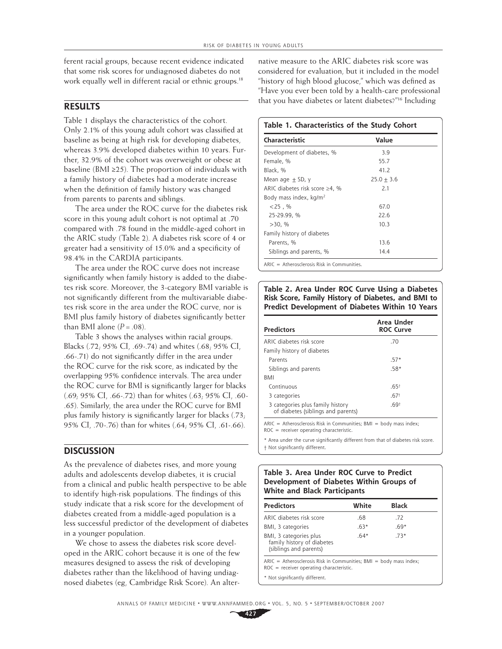ferent racial groups, because recent evidence indicated that some risk scores for undiagnosed diabetes do not work equally well in different racial or ethnic groups.<sup>18</sup>

## **RESULTS**

Table 1 displays the characteristics of the cohort. Only 2.1% of this young adult cohort was classified at baseline as being at high risk for developing diabetes, whereas 3.9% developed diabetes within 10 years. Further, 32.9% of the cohort was overweight or obese at baseline (BMI ≥25). The proportion of individuals with a family history of diabetes had a moderate increase when the definition of family history was changed from parents to parents and siblings.

The area under the ROC curve for the diabetes risk score in this young adult cohort is not optimal at .70 compared with .78 found in the middle-aged cohort in the ARIC study (Table 2). A diabetes risk score of 4 or greater had a sensitivity of 15.0% and a specificity of 98.4% in the CARDIA participants.

The area under the ROC curve does not increase significantly when family history is added to the diabetes risk score. Moreover, the 3-category BMI variable is not significantly different from the multivariable diabetes risk score in the area under the ROC curve, nor is BMI plus family history of diabetes significantly better than BMI alone  $(P = .08)$ .

Table 3 shows the analyses within racial groups. Blacks (.72; 95% CI, .69-.74) and whites (.68; 95% CI, .66-.71) do not significantly differ in the area under the ROC curve for the risk score, as indicated by the overlapping 95% confidence intervals. The area under the ROC curve for BMI is significantly larger for blacks (.69; 95% CI, .66-.72) than for whites (.63; 95% CI, .60- .65). Similarly, the area under the ROC curve for BMI plus family history is significantly larger for blacks  $(.73, 100)$ 95% CI, .70-.76) than for whites (.64; 95% CI, .61-.66).

# **DISCUSSION**

As the prevalence of diabetes rises, and more young adults and adolescents develop diabetes, it is crucial from a clinical and public health perspective to be able to identify high-risk populations. The findings of this study indicate that a risk score for the development of diabetes created from a middle-aged population is a less successful predictor of the development of diabetes in a younger population.

We chose to assess the diabetes risk score developed in the ARIC cohort because it is one of the few measures designed to assess the risk of developing diabetes rather than the likelihood of having undiagnosed diabetes (eg, Cambridge Risk Score). An alter-

native measure to the ARIC diabetes risk score was considered for evaluation, but it included in the model "history of high blood glucose," which was defined as "Have you ever been told by a health-care professional that you have diabetes or latent diabetes?"16 Including

# **Table 1. Characteristics of the Study Cohort**

| Characteristic                       | Value        |  |
|--------------------------------------|--------------|--|
| Development of diabetes, %           | 3.9          |  |
| Female, %                            | 55.7         |  |
| Black, %                             | 41.2         |  |
| Mean age $\pm$ SD, y                 | $25.0 + 3.6$ |  |
| ARIC diabetes risk score $\geq$ 4, % | 2.1          |  |
| Body mass index, kg/m <sup>2</sup>   |              |  |
| $<$ 25. %                            | 67.0         |  |
| 25-29.99, %                          | 22.6         |  |
| $>30.$ %                             | 10.3         |  |
| Family history of diabetes           |              |  |
| Parents, %                           | 13.6         |  |
| Siblings and parents, %              | 14.4         |  |

ARIC = Atherosclerosis Risk in Communities.

#### **Table 2. Area Under ROC Curve Using a Diabetes Risk Score, Family History of Diabetes, and BMI to Predict Development of Diabetes Within 10 Years**

| <b>Predictors</b>                                                      | Area Under<br><b>ROC Curve</b> |
|------------------------------------------------------------------------|--------------------------------|
| ARIC diabetes risk score                                               | .70                            |
| Family history of diabetes                                             |                                |
| Parents                                                                | $.57*$                         |
| Siblings and parents                                                   | $.58*$                         |
| <b>BMI</b>                                                             |                                |
| Continuous                                                             | .65 <sup>†</sup>               |
| 3 categories                                                           | .67 <sup>†</sup>               |
| 3 categories plus family history<br>of diabetes (siblings and parents) | .69 <sup>†</sup>               |
|                                                                        |                                |

 $ARIC = Atherosclerosis Risk in Communications; BMI = body mass index;$ ROC = receiver operating characteristic.

\* Area under the curve significantly different from that of diabetes risk score. † Not signifi cantly different.

#### **Table 3. Area Under ROC Curve to Predict Development of Diabetes Within Groups of White and Black Participants**

| <b>Predictors</b>                                                                                                  | White  | <b>Black</b> |
|--------------------------------------------------------------------------------------------------------------------|--------|--------------|
| ARIC diabetes risk score                                                                                           | .68    | .72          |
| BMI, 3 categories                                                                                                  | $.63*$ | $.69*$       |
| BMI, 3 categories plus<br>family history of diabetes<br>(siblings and parents)                                     | $.64*$ | $.73*$       |
| $ARIC =$ Atherosclerosis Risk in Communities; BMI = body mass index;<br>$ROC = receiver operating characteristic.$ |        |              |
| * Not significantly different.                                                                                     |        |              |

**427**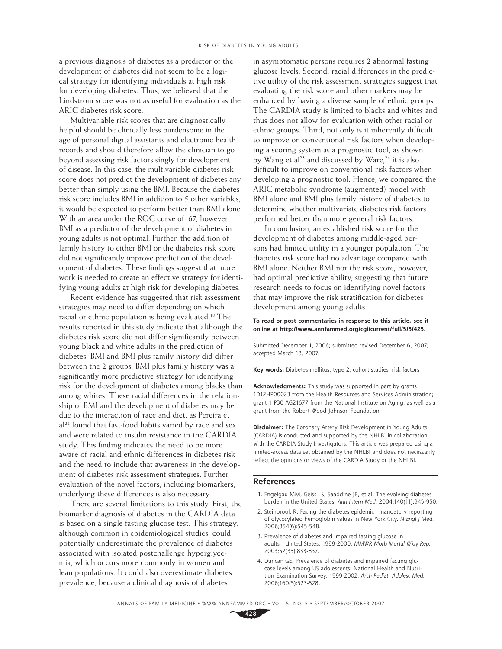a previous diagnosis of diabetes as a predictor of the development of diabetes did not seem to be a logical strategy for identifying individuals at high risk for developing diabetes. Thus, we believed that the Lindstrom score was not as useful for evaluation as the ARIC diabetes risk score.

Multivariable risk scores that are diagnostically helpful should be clinically less burdensome in the age of personal digital assistants and electronic health records and should therefore allow the clinician to go beyond assessing risk factors singly for development of disease. In this case, the multivariable diabetes risk score does not predict the development of diabetes any better than simply using the BMI. Because the diabetes risk score includes BMI in addition to 5 other variables, it would be expected to perform better than BMI alone. With an area under the ROC curve of .67, however, BMI as a predictor of the development of diabetes in young adults is not optimal. Further, the addition of family history to either BMI or the diabetes risk score did not significantly improve prediction of the development of diabetes. These findings suggest that more work is needed to create an effective strategy for identifying young adults at high risk for developing diabetes.

Recent evidence has suggested that risk assessment strategies may need to differ depending on which racial or ethnic population is being evaluated.18 The results reported in this study indicate that although the diabetes risk score did not differ significantly between young black and white adults in the prediction of diabetes, BMI and BMI plus family history did differ between the 2 groups: BMI plus family history was a significantly more predictive strategy for identifying risk for the development of diabetes among blacks than among whites. These racial differences in the relationship of BMI and the development of diabetes may be due to the interaction of race and diet, as Pereira et al<sup>22</sup> found that fast-food habits varied by race and sex and were related to insulin resistance in the CARDIA study. This finding indicates the need to be more aware of racial and ethnic differences in diabetes risk and the need to include that awareness in the development of diabetes risk assessment strategies. Further evaluation of the novel factors, including biomarkers, underlying these differences is also necessary.

There are several limitations to this study. First, the biomarker diagnosis of diabetes in the CARDIA data is based on a single fasting glucose test. This strategy, although common in epidemiological studies, could potentially underestimate the prevalence of diabetes associated with isolated postchallenge hyperglycemia, which occurs more commonly in women and lean populations. It could also overestimate diabetes prevalence, because a clinical diagnosis of diabetes

in asymptomatic persons requires 2 abnormal fasting glucose levels. Second, racial differences in the predictive utility of the risk assessment strategies suggest that evaluating the risk score and other markers may be enhanced by having a diverse sample of ethnic groups. The CARDIA study is limited to blacks and whites and thus does not allow for evaluation with other racial or ethnic groups. Third, not only is it inherently difficult to improve on conventional risk factors when developing a scoring system as a prognostic tool, as shown by Wang et al<sup>23</sup> and discussed by Ware,  $24$  it is also difficult to improve on conventional risk factors when developing a prognostic tool. Hence, we compared the ARIC metabolic syndrome (augmented) model with BMI alone and BMI plus family history of diabetes to determine whether multivariate diabetes risk factors performed better than more general risk factors.

In conclusion, an established risk score for the development of diabetes among middle-aged persons had limited utility in a younger population. The diabetes risk score had no advantage compared with BMI alone. Neither BMI nor the risk score, however, had optimal predictive ability, suggesting that future research needs to focus on identifying novel factors that may improve the risk stratification for diabetes development among young adults.

#### **To read or post commentaries in response to this article, see it online at http://www.annfammed.org/cgi/current/full/5/5/425.**

Submitted December 1, 2006; submitted revised December 6, 2007; accepted March 18, 2007.

**Key words:** Diabetes mellitus, type 2; cohort studies; risk factors

**Acknowledgments:** This study was supported in part by grants 1D12HP00023 from the Health Resources and Services Administration; grant 1 P30 AG21677 from the National Institute on Aging, as well as a grant from the Robert Wood Johnson Foundation.

**Disclaimer:** The Coronary Artery Risk Development in Young Adults (CARDIA) is conducted and supported by the NHLBI in collaboration with the CARDIA Study Investigators. This article was prepared using a limited-access data set obtained by the NHLBI and does not necessarily reflect the opinions or views of the CARDIA Study or the NHLBI.

#### **References**

- 1. Engelgau MM, Geiss LS, Saaddine JB, et al. The evolving diabetes burden in the United States. Ann Intern Med. 2004;140(11):945-950.
- 2. Steinbrook R. Facing the diabetes epidemic—mandatory reporting of glycosylated hemoglobin values in New York City. N Engl J Med. 2006;354(6):545-548.
- 3. Prevalence of diabetes and impaired fasting glucose in adults—United States, 1999-2000. MMWR Morb Mortal Wkly Rep. 2003;52(35):833-837.
- 4. Duncan GE. Prevalence of diabetes and impaired fasting glucose levels among US adolescents: National Health and Nutrition Examination Survey, 1999-2002. Arch Pediatr Adolesc Med. 2006;160(5):523-528.